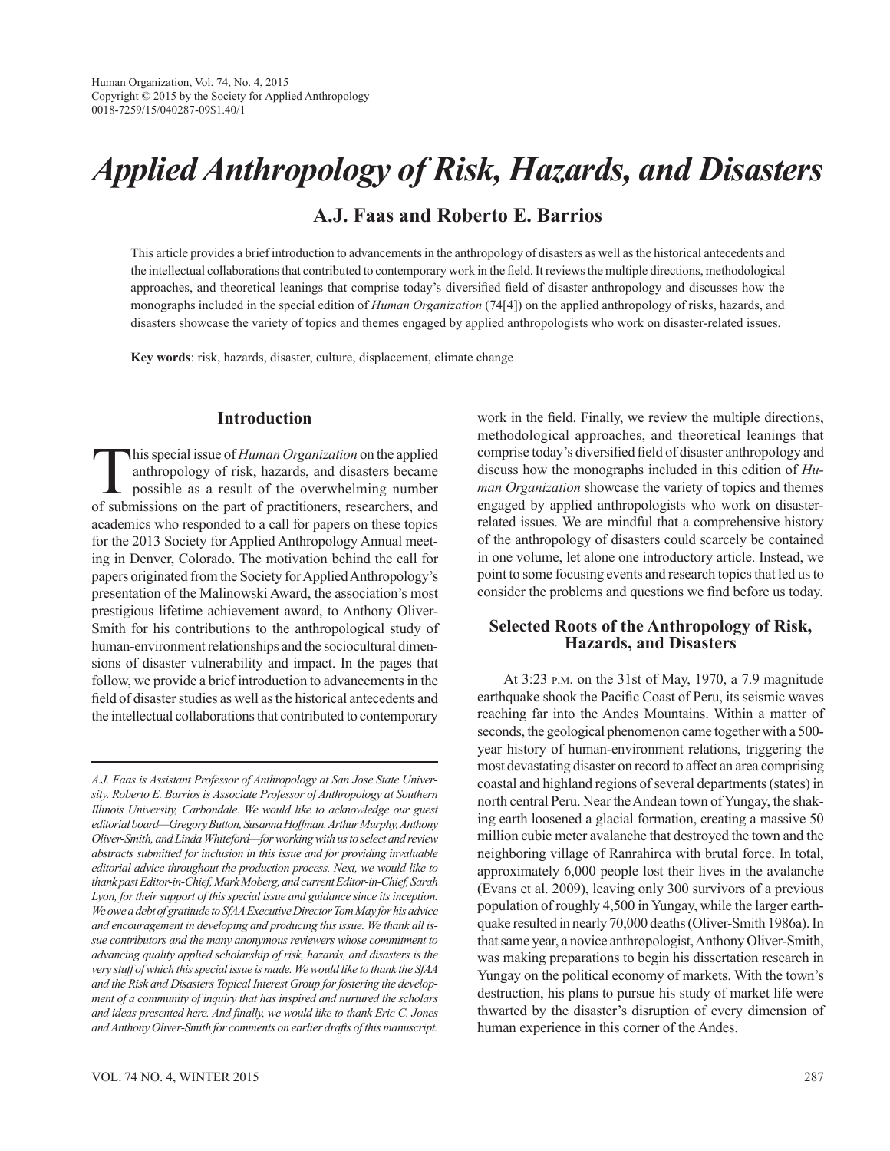# *Applied Anthropology of Risk, Hazards, and Disasters*

# **A.J. Faas and Roberto E. Barrios**

This article provides a brief introduction to advancements in the anthropology of disasters as well as the historical antecedents and the intellectual collaborations that contributed to contemporary work in the field. It reviews the multiple directions, methodological approaches, and theoretical leanings that comprise today's diversified field of disaster anthropology and discusses how the monographs included in the special edition of *Human Organization* (74[4]) on the applied anthropology of risks, hazards, and disasters showcase the variety of topics and themes engaged by applied anthropologists who work on disaster-related issues.

**Key words**: risk, hazards, disaster, culture, displacement, climate change

# **Introduction**

This special issue of *Human Organization* on the applied anthropology of risk, hazards, and disasters became possible as a result of the overwhelming number of submissions on the part of practitioners, researchers, and academics who responded to a call for papers on these topics for the 2013 Society for Applied Anthropology Annual meeting in Denver, Colorado. The motivation behind the call for papers originated from the Society for Applied Anthropology's presentation of the Malinowski Award, the association's most prestigious lifetime achievement award, to Anthony Oliver-Smith for his contributions to the anthropological study of human-environment relationships and the sociocultural dimensions of disaster vulnerability and impact. In the pages that follow, we provide a brief introduction to advancements in the field of disaster studies as well as the historical antecedents and the intellectual collaborations that contributed to contemporary

methodological approaches, and theoretical leanings that comprise today's diversified field of disaster anthropology and discuss how the monographs included in this edition of *Human Organization* showcase the variety of topics and themes engaged by applied anthropologists who work on disasterrelated issues. We are mindful that a comprehensive history of the anthropology of disasters could scarcely be contained in one volume, let alone one introductory article. Instead, we point to some focusing events and research topics that led us to consider the problems and questions we find before us today.

# **Selected Roots of the Anthropology of Risk, Hazards, and Disasters**

work in the field. Finally, we review the multiple directions,

At 3:23 p.m. on the 31st of May, 1970, a 7.9 magnitude earthquake shook the Pacific Coast of Peru, its seismic waves reaching far into the Andes Mountains. Within a matter of seconds, the geological phenomenon came together with a 500 year history of human-environment relations, triggering the most devastating disaster on record to affect an area comprising coastal and highland regions of several departments (states) in north central Peru. Near the Andean town of Yungay, the shaking earth loosened a glacial formation, creating a massive 50 million cubic meter avalanche that destroyed the town and the neighboring village of Ranrahirca with brutal force. In total, approximately 6,000 people lost their lives in the avalanche (Evans et al. 2009), leaving only 300 survivors of a previous population of roughly 4,500 in Yungay, while the larger earthquake resulted in nearly 70,000 deaths (Oliver-Smith 1986a). In that same year, a novice anthropologist, Anthony Oliver-Smith, was making preparations to begin his dissertation research in Yungay on the political economy of markets. With the town's destruction, his plans to pursue his study of market life were thwarted by the disaster's disruption of every dimension of human experience in this corner of the Andes.

*A.J. Faas is Assistant Professor of Anthropology at San Jose State University. Roberto E. Barrios is Associate Professor of Anthropology at Southern Illinois University, Carbondale. We would like to acknowledge our guest editorial board—Gregory Button, Susanna Hoffman, Arthur Murphy, Anthony Oliver-Smith, and Linda Whiteford—for working with us to select and review abstracts submitted for inclusion in this issue and for providing invaluable editorial advice throughout the production process. Next, we would like to thank past Editor-in-Chief, Mark Moberg, and current Editor-in-Chief, Sarah Lyon, for their support of this special issue and guidance since its inception. We owe a debt of gratitude to SfAA Executive Director Tom May for his advice and encouragement in developing and producing this issue. We thank all issue contributors and the many anonymous reviewers whose commitment to advancing quality applied scholarship of risk, hazards, and disasters is the very stuff of which this special issue is made. We would like to thank the SfAA and the Risk and Disasters Topical Interest Group for fostering the development of a community of inquiry that has inspired and nurtured the scholars and ideas presented here. And finally, we would like to thank Eric C. Jones and Anthony Oliver-Smith for comments on earlier drafts of this manuscript.*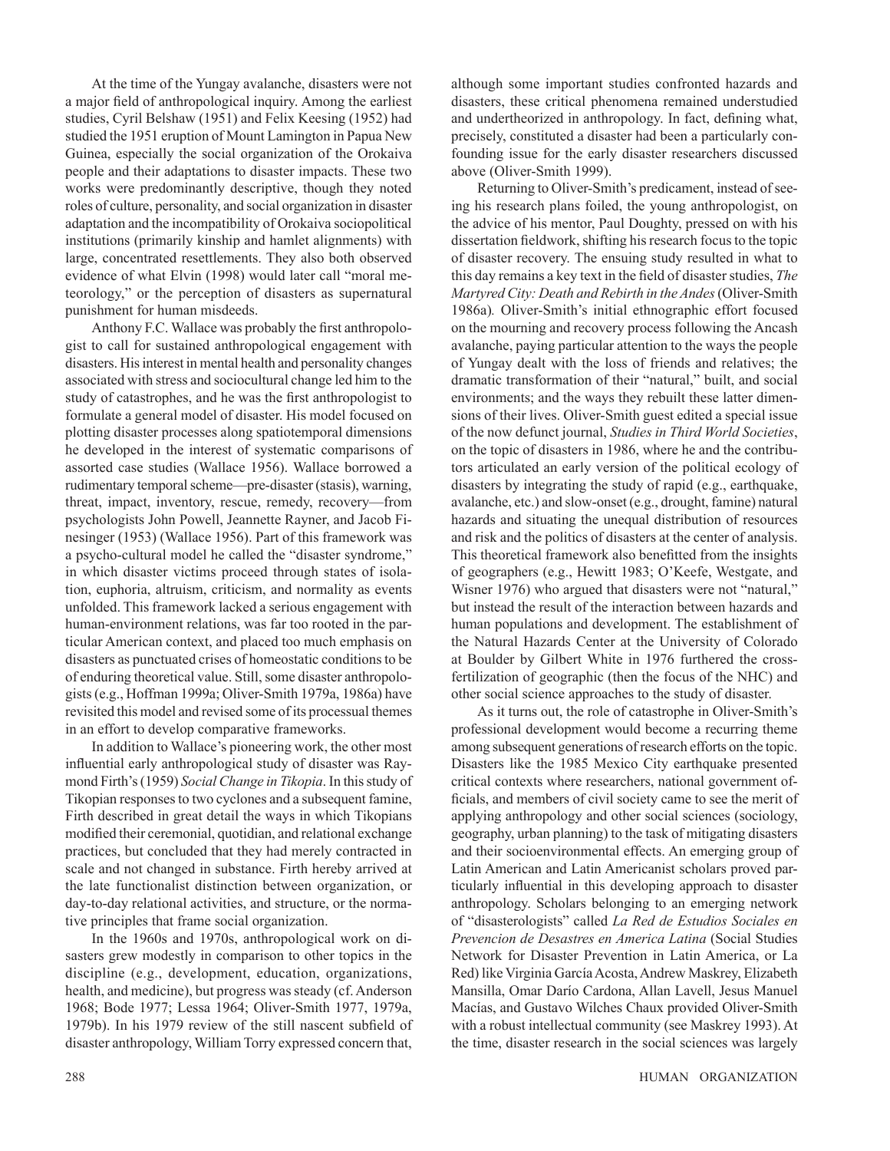At the time of the Yungay avalanche, disasters were not a major field of anthropological inquiry. Among the earliest studies, Cyril Belshaw (1951) and Felix Keesing (1952) had studied the 1951 eruption of Mount Lamington in Papua New Guinea, especially the social organization of the Orokaiva people and their adaptations to disaster impacts. These two works were predominantly descriptive, though they noted roles of culture, personality, and social organization in disaster adaptation and the incompatibility of Orokaiva sociopolitical institutions (primarily kinship and hamlet alignments) with large, concentrated resettlements. They also both observed evidence of what Elvin (1998) would later call "moral meteorology," or the perception of disasters as supernatural punishment for human misdeeds.

Anthony F.C. Wallace was probably the first anthropologist to call for sustained anthropological engagement with disasters. His interest in mental health and personality changes associated with stress and sociocultural change led him to the study of catastrophes, and he was the first anthropologist to formulate a general model of disaster. His model focused on plotting disaster processes along spatiotemporal dimensions he developed in the interest of systematic comparisons of assorted case studies (Wallace 1956). Wallace borrowed a rudimentary temporal scheme—pre-disaster (stasis), warning, threat, impact, inventory, rescue, remedy, recovery—from psychologists John Powell, Jeannette Rayner, and Jacob Finesinger (1953) (Wallace 1956). Part of this framework was a psycho-cultural model he called the "disaster syndrome," in which disaster victims proceed through states of isolation, euphoria, altruism, criticism, and normality as events unfolded. This framework lacked a serious engagement with human-environment relations, was far too rooted in the particular American context, and placed too much emphasis on disasters as punctuated crises of homeostatic conditions to be of enduring theoretical value. Still, some disaster anthropologists (e.g., Hoffman 1999a; Oliver-Smith 1979a, 1986a) have revisited this model and revised some of its processual themes in an effort to develop comparative frameworks.

In addition to Wallace's pioneering work, the other most influential early anthropological study of disaster was Raymond Firth's (1959) *Social Change in Tikopia*. In this study of Tikopian responses to two cyclones and a subsequent famine, Firth described in great detail the ways in which Tikopians modified their ceremonial, quotidian, and relational exchange practices, but concluded that they had merely contracted in scale and not changed in substance. Firth hereby arrived at the late functionalist distinction between organization, or day-to-day relational activities, and structure, or the normative principles that frame social organization.

In the 1960s and 1970s, anthropological work on disasters grew modestly in comparison to other topics in the discipline (e.g., development, education, organizations, health, and medicine), but progress was steady (cf. Anderson 1968; Bode 1977; Lessa 1964; Oliver-Smith 1977, 1979a, 1979b). In his 1979 review of the still nascent subfield of disaster anthropology, William Torry expressed concern that,

although some important studies confronted hazards and disasters, these critical phenomena remained understudied and undertheorized in anthropology. In fact, defining what, precisely, constituted a disaster had been a particularly confounding issue for the early disaster researchers discussed above (Oliver-Smith 1999).

Returning to Oliver-Smith's predicament, instead of seeing his research plans foiled, the young anthropologist, on the advice of his mentor, Paul Doughty, pressed on with his dissertation fieldwork, shifting his research focus to the topic of disaster recovery. The ensuing study resulted in what to this day remains a key text in the field of disaster studies, *The Martyred City: Death and Rebirth in the Andes* (Oliver-Smith 1986a)*.* Oliver-Smith's initial ethnographic effort focused on the mourning and recovery process following the Ancash avalanche, paying particular attention to the ways the people of Yungay dealt with the loss of friends and relatives; the dramatic transformation of their "natural," built, and social environments; and the ways they rebuilt these latter dimensions of their lives. Oliver-Smith guest edited a special issue of the now defunct journal, *Studies in Third World Societies*, on the topic of disasters in 1986, where he and the contributors articulated an early version of the political ecology of disasters by integrating the study of rapid (e.g., earthquake, avalanche, etc.) and slow-onset (e.g., drought, famine) natural hazards and situating the unequal distribution of resources and risk and the politics of disasters at the center of analysis. This theoretical framework also benefitted from the insights of geographers (e.g., Hewitt 1983; O'Keefe, Westgate, and Wisner 1976) who argued that disasters were not "natural," but instead the result of the interaction between hazards and human populations and development. The establishment of the Natural Hazards Center at the University of Colorado at Boulder by Gilbert White in 1976 furthered the crossfertilization of geographic (then the focus of the NHC) and other social science approaches to the study of disaster.

As it turns out, the role of catastrophe in Oliver-Smith's professional development would become a recurring theme among subsequent generations of research efforts on the topic. Disasters like the 1985 Mexico City earthquake presented critical contexts where researchers, national government officials, and members of civil society came to see the merit of applying anthropology and other social sciences (sociology, geography, urban planning) to the task of mitigating disasters and their socioenvironmental effects. An emerging group of Latin American and Latin Americanist scholars proved particularly influential in this developing approach to disaster anthropology. Scholars belonging to an emerging network of "disasterologists" called *La Red de Estudios Sociales en Prevencion de Desastres en America Latina* (Social Studies Network for Disaster Prevention in Latin America, or La Red) like Virginia García Acosta, Andrew Maskrey, Elizabeth Mansilla, Omar Darío Cardona, Allan Lavell, Jesus Manuel Macías, and Gustavo Wilches Chaux provided Oliver-Smith with a robust intellectual community (see Maskrey 1993). At the time, disaster research in the social sciences was largely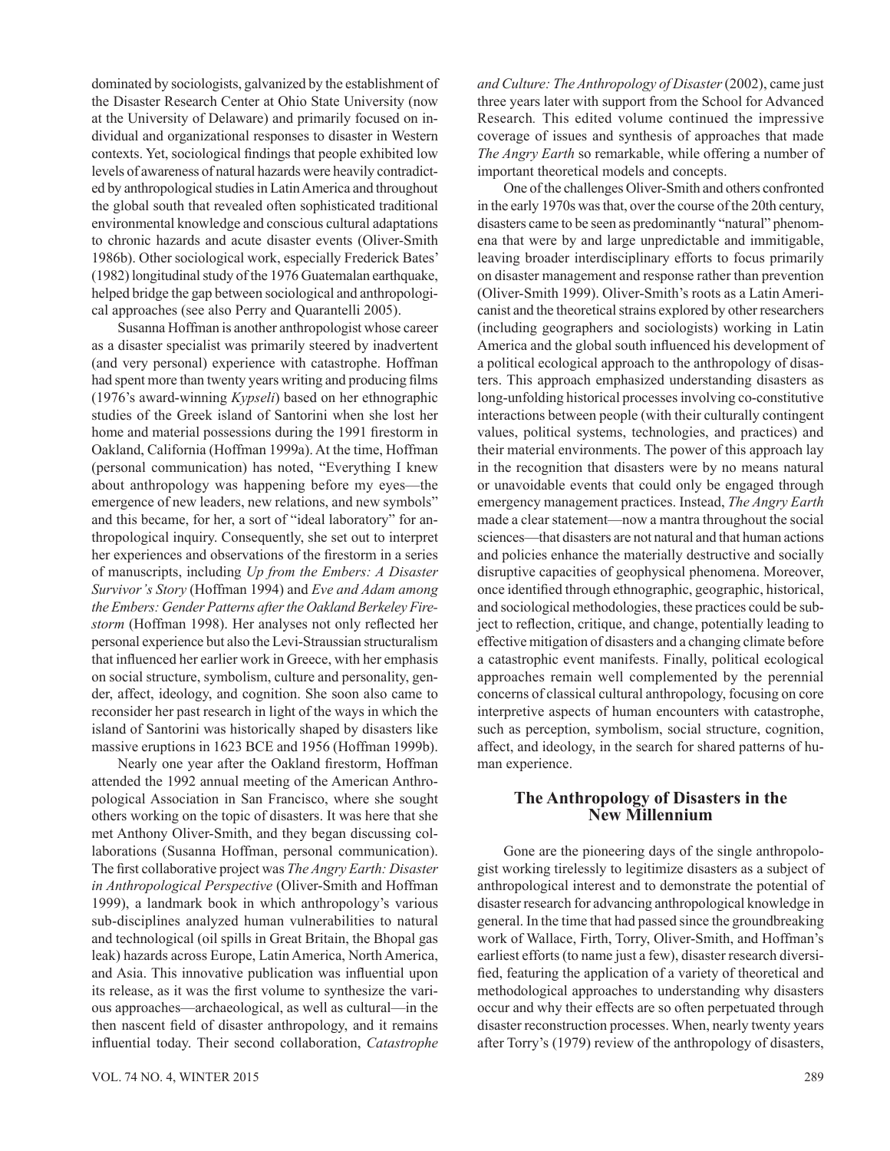dominated by sociologists, galvanized by the establishment of the Disaster Research Center at Ohio State University (now at the University of Delaware) and primarily focused on individual and organizational responses to disaster in Western contexts. Yet, sociological findings that people exhibited low levels of awareness of natural hazards were heavily contradicted by anthropological studies in Latin America and throughout the global south that revealed often sophisticated traditional environmental knowledge and conscious cultural adaptations to chronic hazards and acute disaster events (Oliver-Smith 1986b). Other sociological work, especially Frederick Bates' (1982) longitudinal study of the 1976 Guatemalan earthquake, helped bridge the gap between sociological and anthropological approaches (see also Perry and Quarantelli 2005).

Susanna Hoffman is another anthropologist whose career as a disaster specialist was primarily steered by inadvertent (and very personal) experience with catastrophe. Hoffman had spent more than twenty years writing and producing films (1976's award-winning *Kypseli*) based on her ethnographic studies of the Greek island of Santorini when she lost her home and material possessions during the 1991 firestorm in Oakland, California (Hoffman 1999a). At the time, Hoffman (personal communication) has noted, "Everything I knew about anthropology was happening before my eyes—the emergence of new leaders, new relations, and new symbols" and this became, for her, a sort of "ideal laboratory" for anthropological inquiry. Consequently, she set out to interpret her experiences and observations of the firestorm in a series of manuscripts, including *Up from the Embers: A Disaster Survivor's Story* (Hoffman 1994) and *Eve and Adam among the Embers: Gender Patterns after the Oakland Berkeley Firestorm* (Hoffman 1998). Her analyses not only reflected her personal experience but also the Levi-Straussian structuralism that influenced her earlier work in Greece, with her emphasis on social structure, symbolism, culture and personality, gender, affect, ideology, and cognition. She soon also came to reconsider her past research in light of the ways in which the island of Santorini was historically shaped by disasters like massive eruptions in 1623 BCE and 1956 (Hoffman 1999b).

Nearly one year after the Oakland firestorm, Hoffman attended the 1992 annual meeting of the American Anthropological Association in San Francisco, where she sought others working on the topic of disasters. It was here that she met Anthony Oliver-Smith, and they began discussing collaborations (Susanna Hoffman, personal communication). The first collaborative project was *The Angry Earth: Disaster in Anthropological Perspective* (Oliver-Smith and Hoffman 1999), a landmark book in which anthropology's various sub-disciplines analyzed human vulnerabilities to natural and technological (oil spills in Great Britain, the Bhopal gas leak) hazards across Europe, Latin America, North America, and Asia. This innovative publication was influential upon its release, as it was the first volume to synthesize the various approaches—archaeological, as well as cultural—in the then nascent field of disaster anthropology, and it remains influential today. Their second collaboration, *Catastrophe*  *and Culture: The Anthropology of Disaster* (2002), came just three years later with support from the School for Advanced Research*.* This edited volume continued the impressive coverage of issues and synthesis of approaches that made *The Angry Earth* so remarkable, while offering a number of important theoretical models and concepts.

One of the challenges Oliver-Smith and others confronted in the early 1970s was that, over the course of the 20th century, disasters came to be seen as predominantly "natural" phenomena that were by and large unpredictable and immitigable, leaving broader interdisciplinary efforts to focus primarily on disaster management and response rather than prevention (Oliver-Smith 1999). Oliver-Smith's roots as a Latin Americanist and the theoretical strains explored by other researchers (including geographers and sociologists) working in Latin America and the global south influenced his development of a political ecological approach to the anthropology of disasters. This approach emphasized understanding disasters as long-unfolding historical processes involving co-constitutive interactions between people (with their culturally contingent values, political systems, technologies, and practices) and their material environments. The power of this approach lay in the recognition that disasters were by no means natural or unavoidable events that could only be engaged through emergency management practices. Instead, *The Angry Earth*  made a clear statement—now a mantra throughout the social sciences—that disasters are not natural and that human actions and policies enhance the materially destructive and socially disruptive capacities of geophysical phenomena. Moreover, once identified through ethnographic, geographic, historical, and sociological methodologies, these practices could be subject to reflection, critique, and change, potentially leading to effective mitigation of disasters and a changing climate before a catastrophic event manifests. Finally, political ecological approaches remain well complemented by the perennial concerns of classical cultural anthropology, focusing on core interpretive aspects of human encounters with catastrophe, such as perception, symbolism, social structure, cognition, affect, and ideology, in the search for shared patterns of human experience.

# **The Anthropology of Disasters in the New Millennium**

Gone are the pioneering days of the single anthropologist working tirelessly to legitimize disasters as a subject of anthropological interest and to demonstrate the potential of disaster research for advancing anthropological knowledge in general. In the time that had passed since the groundbreaking work of Wallace, Firth, Torry, Oliver-Smith, and Hoffman's earliest efforts (to name just a few), disaster research diversified, featuring the application of a variety of theoretical and methodological approaches to understanding why disasters occur and why their effects are so often perpetuated through disaster reconstruction processes. When, nearly twenty years after Torry's (1979) review of the anthropology of disasters,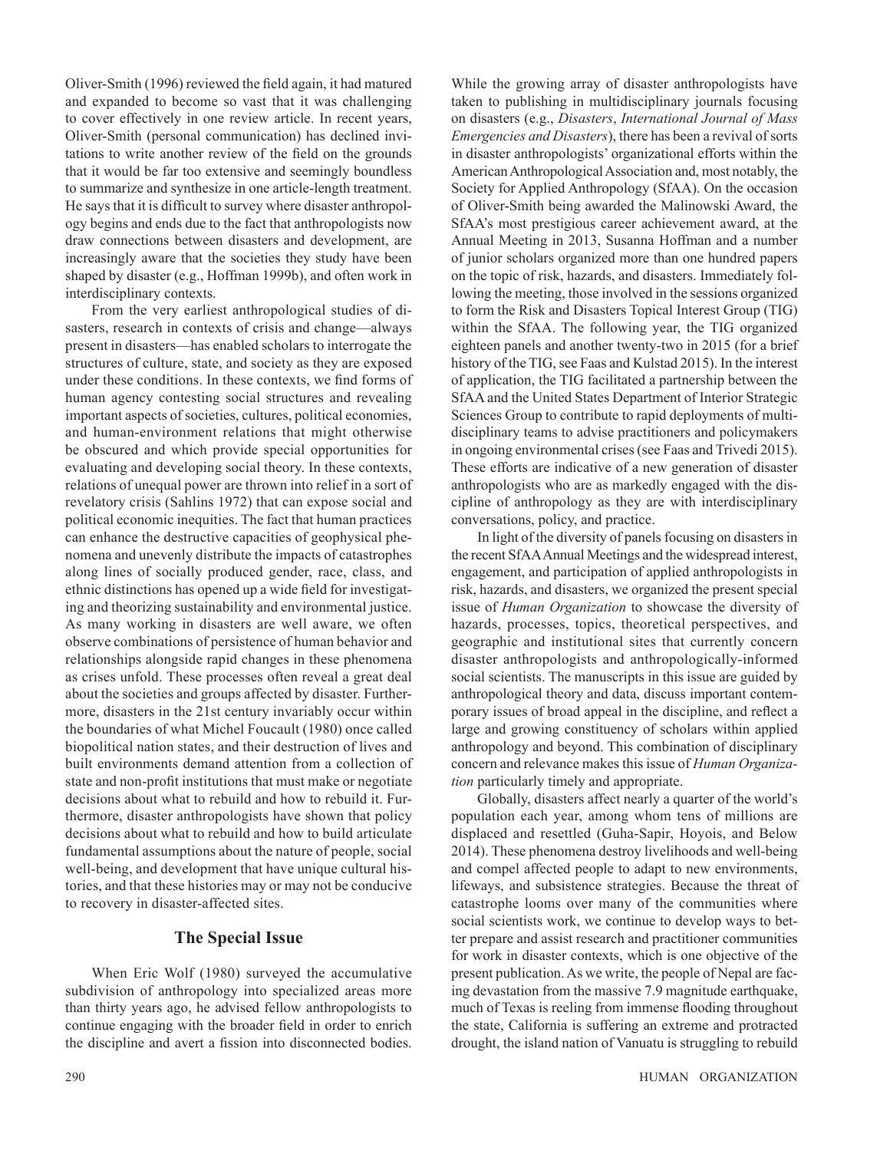Oliver-Smith (1996) reviewed the field again, it had matured and expanded to become so vast that it was challenging to cover effectively in one review article. In recent years, Oliver-Smith (personal communication) has declined invitations to write another review of the field on the grounds that it would be far too extensive and seemingly boundless to summarize and synthesize in one article-length treatment. He says that it is difficult to survey where disaster anthropology begins and ends due to the fact that anthropologists now draw connections between disasters and development, are increasingly aware that the societies they study have been shaped by disaster (e.g., Hoffman 1999b), and often work in interdisciplinary contexts.

From the very earliest anthropological studies of disasters, research in contexts of crisis and change—always present in disasters—has enabled scholars to interrogate the structures of culture, state, and society as they are exposed under these conditions. In these contexts, we find forms of human agency contesting social structures and revealing important aspects of societies, cultures, political economies, and human-environment relations that might otherwise be obscured and which provide special opportunities for evaluating and developing social theory. In these contexts, relations of unequal power are thrown into relief in a sort of revelatory crisis (Sahlins 1972) that can expose social and political economic inequities. The fact that human practices can enhance the destructive capacities of geophysical phenomena and unevenly distribute the impacts of catastrophes along lines of socially produced gender, race, class, and ethnic distinctions has opened up a wide field for investigating and theorizing sustainability and environmental justice. As many working in disasters are well aware, we often observe combinations of persistence of human behavior and relationships alongside rapid changes in these phenomena as crises unfold. These processes often reveal a great deal about the societies and groups affected by disaster. Furthermore, disasters in the 21st century invariably occur within the boundaries of what Michel Foucault (1980) once called biopolitical nation states, and their destruction of lives and built environments demand attention from a collection of state and non-profit institutions that must make or negotiate decisions about what to rebuild and how to rebuild it. Furthermore, disaster anthropologists have shown that policy decisions about what to rebuild and how to build articulate fundamental assumptions about the nature of people, social well-being, and development that have unique cultural histories, and that these histories may or may not be conducive to recovery in disaster-affected sites.

# **The Special Issue**

When Eric Wolf (1980) surveyed the accumulative subdivision of anthropology into specialized areas more than thirty years ago, he advised fellow anthropologists to continue engaging with the broader field in order to enrich the discipline and avert a fission into disconnected bodies.

While the growing array of disaster anthropologists have taken to publishing in multidisciplinary journals focusing on disasters (e.g., *Disasters*, *International Journal of Mass Emergencies and Disasters*), there has been a revival of sorts in disaster anthropologists' organizational efforts within the American Anthropological Association and, most notably, the Society for Applied Anthropology (SfAA). On the occasion of Oliver-Smith being awarded the Malinowski Award, the SfAA's most prestigious career achievement award, at the Annual Meeting in 2013, Susanna Hoffman and a number of junior scholars organized more than one hundred papers on the topic of risk, hazards, and disasters. Immediately following the meeting, those involved in the sessions organized to form the Risk and Disasters Topical Interest Group (TIG) within the SfAA. The following year, the TIG organized eighteen panels and another twenty-two in 2015 (for a brief history of the TIG, see Faas and Kulstad 2015). In the interest of application, the TIG facilitated a partnership between the SfAA and the United States Department of Interior Strategic Sciences Group to contribute to rapid deployments of multidisciplinary teams to advise practitioners and policymakers in ongoing environmental crises (see Faas and Trivedi 2015). These efforts are indicative of a new generation of disaster anthropologists who are as markedly engaged with the discipline of anthropology as they are with interdisciplinary conversations, policy, and practice.

In light of the diversity of panels focusing on disasters in the recent SfAA Annual Meetings and the widespread interest, engagement, and participation of applied anthropologists in risk, hazards, and disasters, we organized the present special issue of *Human Organization* to showcase the diversity of hazards, processes, topics, theoretical perspectives, and geographic and institutional sites that currently concern disaster anthropologists and anthropologically-informed social scientists. The manuscripts in this issue are guided by anthropological theory and data, discuss important contemporary issues of broad appeal in the discipline, and reflect a large and growing constituency of scholars within applied anthropology and beyond. This combination of disciplinary concern and relevance makes this issue of *Human Organization* particularly timely and appropriate.

Globally, disasters affect nearly a quarter of the world's population each year, among whom tens of millions are displaced and resettled (Guha-Sapir, Hoyois, and Below 2014). These phenomena destroy livelihoods and well-being and compel affected people to adapt to new environments, lifeways, and subsistence strategies. Because the threat of catastrophe looms over many of the communities where social scientists work, we continue to develop ways to better prepare and assist research and practitioner communities for work in disaster contexts, which is one objective of the present publication. As we write, the people of Nepal are facing devastation from the massive 7.9 magnitude earthquake, much of Texas is reeling from immense flooding throughout the state, California is suffering an extreme and protracted drought, the island nation of Vanuatu is struggling to rebuild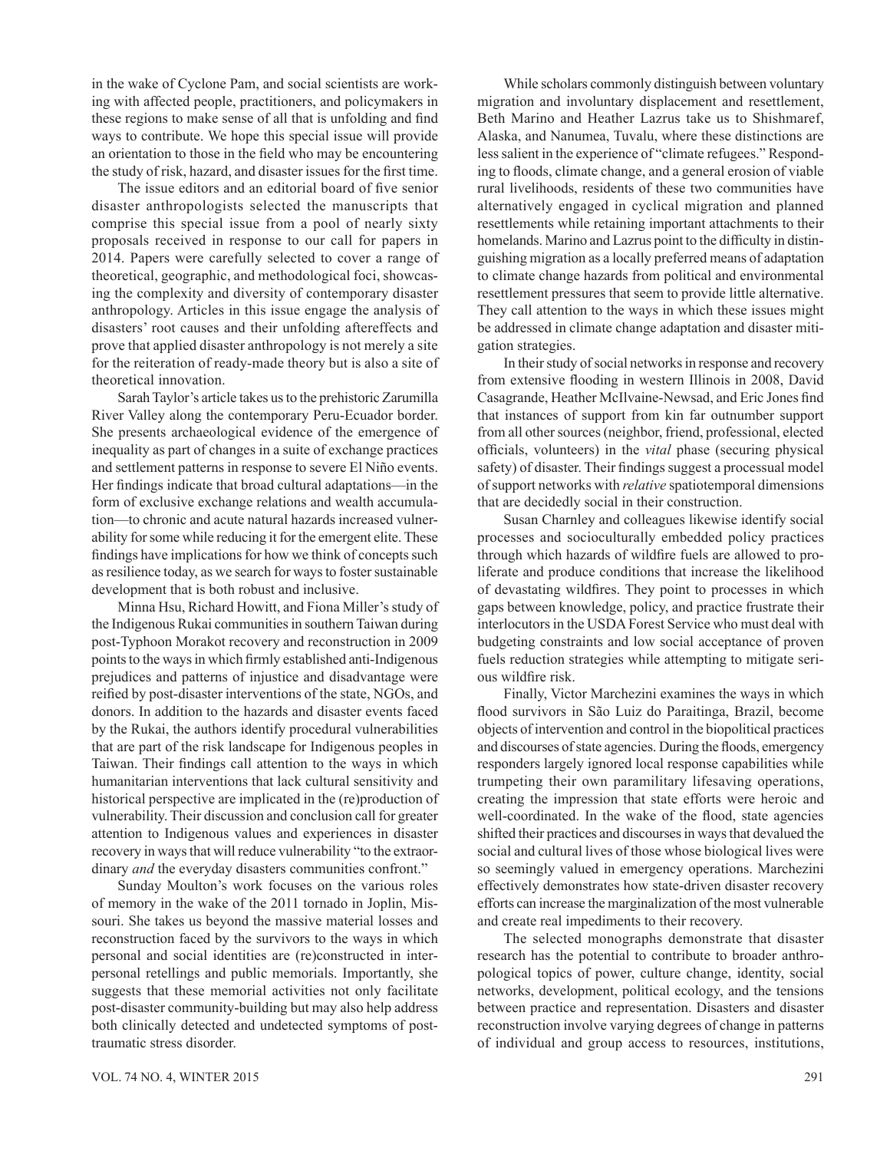in the wake of Cyclone Pam, and social scientists are working with affected people, practitioners, and policymakers in these regions to make sense of all that is unfolding and find ways to contribute. We hope this special issue will provide an orientation to those in the field who may be encountering the study of risk, hazard, and disaster issues for the first time.

The issue editors and an editorial board of five senior disaster anthropologists selected the manuscripts that comprise this special issue from a pool of nearly sixty proposals received in response to our call for papers in 2014. Papers were carefully selected to cover a range of theoretical, geographic, and methodological foci, showcasing the complexity and diversity of contemporary disaster anthropology. Articles in this issue engage the analysis of disasters' root causes and their unfolding aftereffects and prove that applied disaster anthropology is not merely a site for the reiteration of ready-made theory but is also a site of theoretical innovation.

Sarah Taylor's article takes us to the prehistoric Zarumilla River Valley along the contemporary Peru-Ecuador border. She presents archaeological evidence of the emergence of inequality as part of changes in a suite of exchange practices and settlement patterns in response to severe El Niño events. Her findings indicate that broad cultural adaptations—in the form of exclusive exchange relations and wealth accumulation—to chronic and acute natural hazards increased vulnerability for some while reducing it for the emergent elite. These findings have implications for how we think of concepts such as resilience today, as we search for ways to foster sustainable development that is both robust and inclusive.

Minna Hsu, Richard Howitt, and Fiona Miller's study of the Indigenous Rukai communities in southern Taiwan during post-Typhoon Morakot recovery and reconstruction in 2009 points to the ways in which firmly established anti-Indigenous prejudices and patterns of injustice and disadvantage were reified by post-disaster interventions of the state, NGOs, and donors. In addition to the hazards and disaster events faced by the Rukai, the authors identify procedural vulnerabilities that are part of the risk landscape for Indigenous peoples in Taiwan. Their findings call attention to the ways in which humanitarian interventions that lack cultural sensitivity and historical perspective are implicated in the (re)production of vulnerability. Their discussion and conclusion call for greater attention to Indigenous values and experiences in disaster recovery in ways that will reduce vulnerability "to the extraordinary *and* the everyday disasters communities confront."

Sunday Moulton's work focuses on the various roles of memory in the wake of the 2011 tornado in Joplin, Missouri. She takes us beyond the massive material losses and reconstruction faced by the survivors to the ways in which personal and social identities are (re)constructed in interpersonal retellings and public memorials. Importantly, she suggests that these memorial activities not only facilitate post-disaster community-building but may also help address both clinically detected and undetected symptoms of posttraumatic stress disorder.

While scholars commonly distinguish between voluntary migration and involuntary displacement and resettlement, Beth Marino and Heather Lazrus take us to Shishmaref, Alaska, and Nanumea, Tuvalu, where these distinctions are less salient in the experience of "climate refugees." Responding to floods, climate change, and a general erosion of viable rural livelihoods, residents of these two communities have alternatively engaged in cyclical migration and planned resettlements while retaining important attachments to their homelands. Marino and Lazrus point to the difficulty in distinguishing migration as a locally preferred means of adaptation to climate change hazards from political and environmental resettlement pressures that seem to provide little alternative. They call attention to the ways in which these issues might be addressed in climate change adaptation and disaster mitigation strategies.

In their study of social networks in response and recovery from extensive flooding in western Illinois in 2008, David Casagrande, Heather McIlvaine-Newsad, and Eric Jones find that instances of support from kin far outnumber support from all other sources (neighbor, friend, professional, elected officials, volunteers) in the *vital* phase (securing physical safety) of disaster. Their findings suggest a processual model of support networks with *relative* spatiotemporal dimensions that are decidedly social in their construction.

Susan Charnley and colleagues likewise identify social processes and socioculturally embedded policy practices through which hazards of wildfire fuels are allowed to proliferate and produce conditions that increase the likelihood of devastating wildfires. They point to processes in which gaps between knowledge, policy, and practice frustrate their interlocutors in the USDA Forest Service who must deal with budgeting constraints and low social acceptance of proven fuels reduction strategies while attempting to mitigate serious wildfire risk.

Finally, Victor Marchezini examines the ways in which flood survivors in São Luiz do Paraitinga, Brazil, become objects of intervention and control in the biopolitical practices and discourses of state agencies. During the floods, emergency responders largely ignored local response capabilities while trumpeting their own paramilitary lifesaving operations, creating the impression that state efforts were heroic and well-coordinated. In the wake of the flood, state agencies shifted their practices and discourses in ways that devalued the social and cultural lives of those whose biological lives were so seemingly valued in emergency operations. Marchezini effectively demonstrates how state-driven disaster recovery efforts can increase the marginalization of the most vulnerable and create real impediments to their recovery.

The selected monographs demonstrate that disaster research has the potential to contribute to broader anthropological topics of power, culture change, identity, social networks, development, political ecology, and the tensions between practice and representation. Disasters and disaster reconstruction involve varying degrees of change in patterns of individual and group access to resources, institutions,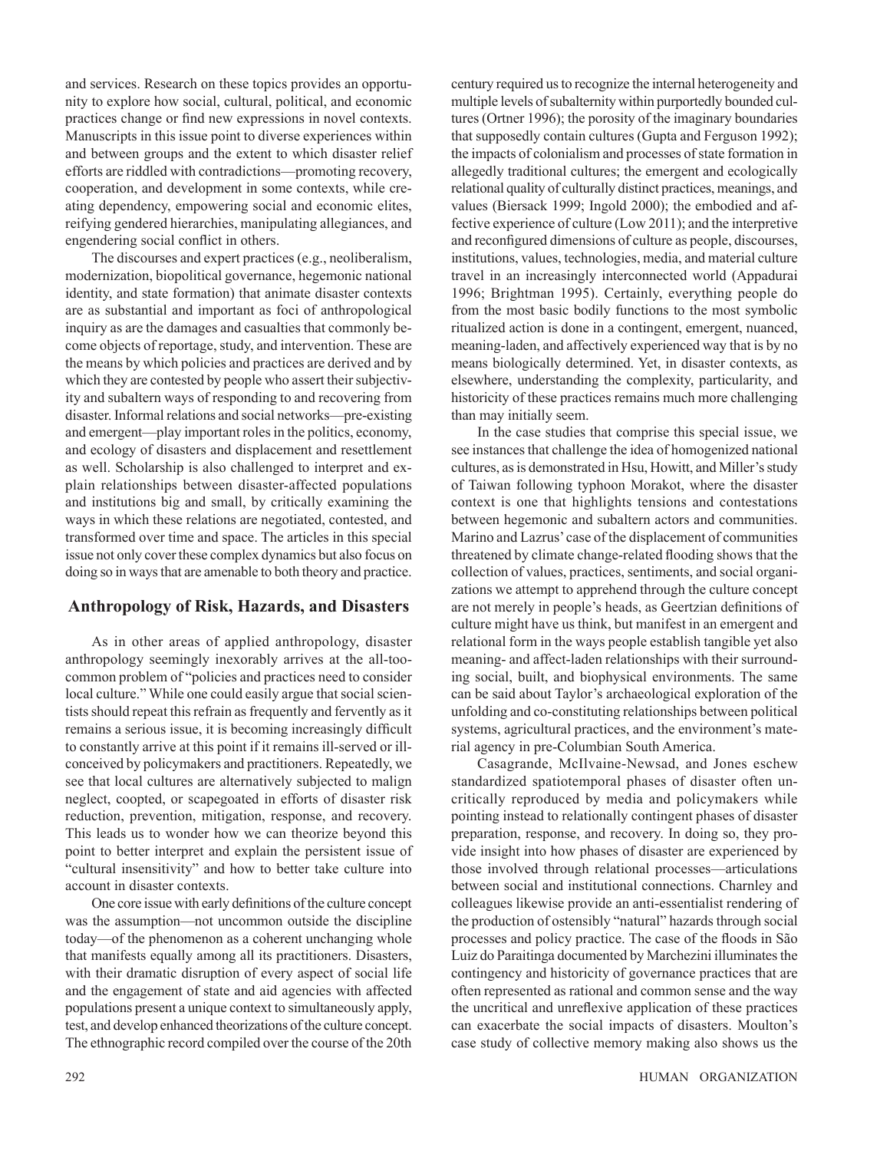and services. Research on these topics provides an opportunity to explore how social, cultural, political, and economic practices change or find new expressions in novel contexts. Manuscripts in this issue point to diverse experiences within and between groups and the extent to which disaster relief efforts are riddled with contradictions—promoting recovery, cooperation, and development in some contexts, while creating dependency, empowering social and economic elites, reifying gendered hierarchies, manipulating allegiances, and engendering social conflict in others.

The discourses and expert practices (e.g., neoliberalism, modernization, biopolitical governance, hegemonic national identity, and state formation) that animate disaster contexts are as substantial and important as foci of anthropological inquiry as are the damages and casualties that commonly become objects of reportage, study, and intervention. These are the means by which policies and practices are derived and by which they are contested by people who assert their subjectivity and subaltern ways of responding to and recovering from disaster. Informal relations and social networks—pre-existing and emergent—play important roles in the politics, economy, and ecology of disasters and displacement and resettlement as well. Scholarship is also challenged to interpret and explain relationships between disaster-affected populations and institutions big and small, by critically examining the ways in which these relations are negotiated, contested, and transformed over time and space. The articles in this special issue not only cover these complex dynamics but also focus on doing so in ways that are amenable to both theory and practice.

# **Anthropology of Risk, Hazards, and Disasters**

As in other areas of applied anthropology, disaster anthropology seemingly inexorably arrives at the all-toocommon problem of "policies and practices need to consider local culture." While one could easily argue that social scientists should repeat this refrain as frequently and fervently as it remains a serious issue, it is becoming increasingly difficult to constantly arrive at this point if it remains ill-served or illconceived by policymakers and practitioners. Repeatedly, we see that local cultures are alternatively subjected to malign neglect, coopted, or scapegoated in efforts of disaster risk reduction, prevention, mitigation, response, and recovery. This leads us to wonder how we can theorize beyond this point to better interpret and explain the persistent issue of "cultural insensitivity" and how to better take culture into account in disaster contexts.

One core issue with early definitions of the culture concept was the assumption—not uncommon outside the discipline today—of the phenomenon as a coherent unchanging whole that manifests equally among all its practitioners. Disasters, with their dramatic disruption of every aspect of social life and the engagement of state and aid agencies with affected populations present a unique context to simultaneously apply, test, and develop enhanced theorizations of the culture concept. The ethnographic record compiled over the course of the 20th

century required us to recognize the internal heterogeneity and multiple levels of subalternity within purportedly bounded cultures (Ortner 1996); the porosity of the imaginary boundaries that supposedly contain cultures (Gupta and Ferguson 1992); the impacts of colonialism and processes of state formation in allegedly traditional cultures; the emergent and ecologically relational quality of culturally distinct practices, meanings, and values (Biersack 1999; Ingold 2000); the embodied and affective experience of culture (Low 2011); and the interpretive and reconfigured dimensions of culture as people, discourses, institutions, values, technologies, media, and material culture travel in an increasingly interconnected world (Appadurai 1996; Brightman 1995). Certainly, everything people do from the most basic bodily functions to the most symbolic ritualized action is done in a contingent, emergent, nuanced, meaning-laden, and affectively experienced way that is by no means biologically determined. Yet, in disaster contexts, as elsewhere, understanding the complexity, particularity, and historicity of these practices remains much more challenging than may initially seem.

In the case studies that comprise this special issue, we see instances that challenge the idea of homogenized national cultures, as is demonstrated in Hsu, Howitt, and Miller's study of Taiwan following typhoon Morakot, where the disaster context is one that highlights tensions and contestations between hegemonic and subaltern actors and communities. Marino and Lazrus' case of the displacement of communities threatened by climate change-related flooding shows that the collection of values, practices, sentiments, and social organizations we attempt to apprehend through the culture concept are not merely in people's heads, as Geertzian definitions of culture might have us think, but manifest in an emergent and relational form in the ways people establish tangible yet also meaning- and affect-laden relationships with their surrounding social, built, and biophysical environments. The same can be said about Taylor's archaeological exploration of the unfolding and co-constituting relationships between political systems, agricultural practices, and the environment's material agency in pre-Columbian South America.

Casagrande, McIlvaine-Newsad, and Jones eschew standardized spatiotemporal phases of disaster often uncritically reproduced by media and policymakers while pointing instead to relationally contingent phases of disaster preparation, response, and recovery. In doing so, they provide insight into how phases of disaster are experienced by those involved through relational processes—articulations between social and institutional connections. Charnley and colleagues likewise provide an anti-essentialist rendering of the production of ostensibly "natural" hazards through social processes and policy practice. The case of the floods in São Luiz do Paraitinga documented by Marchezini illuminates the contingency and historicity of governance practices that are often represented as rational and common sense and the way the uncritical and unreflexive application of these practices can exacerbate the social impacts of disasters. Moulton's case study of collective memory making also shows us the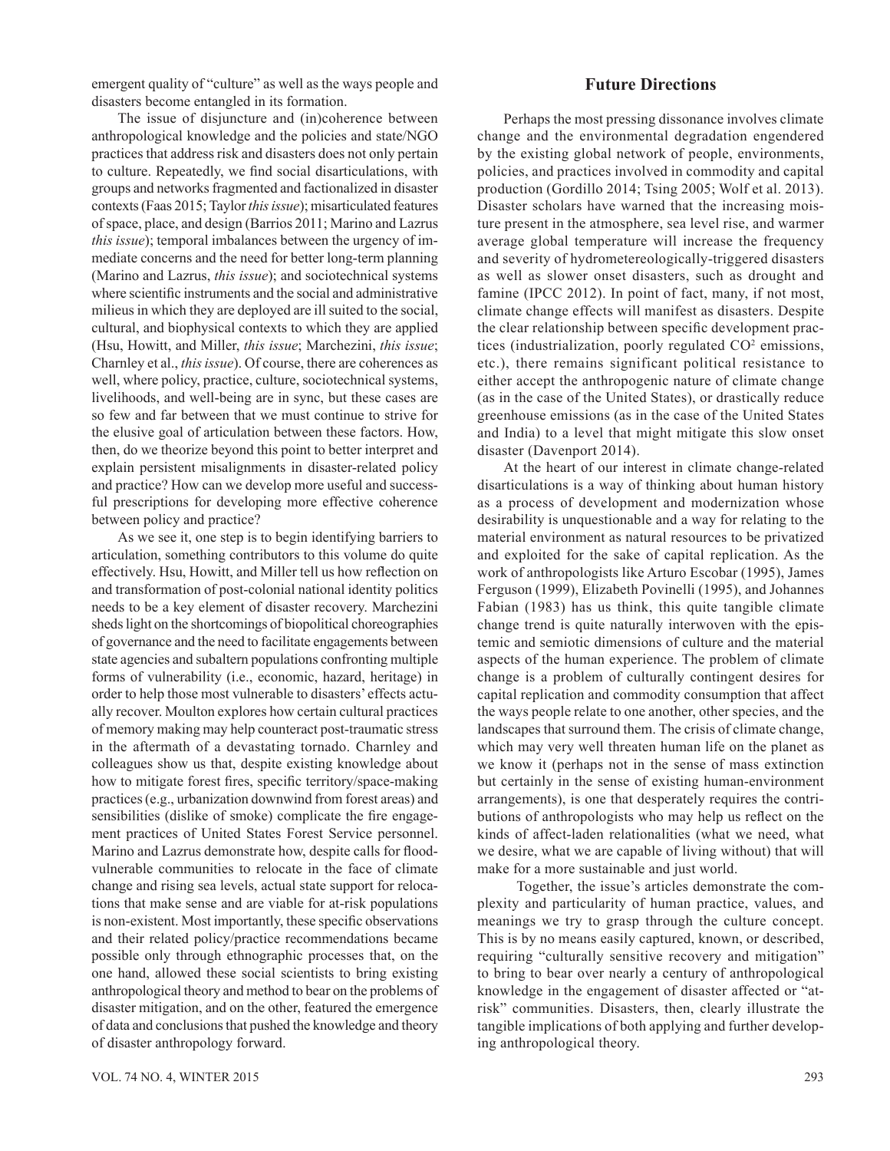emergent quality of "culture" as well as the ways people and disasters become entangled in its formation.

The issue of disjuncture and (in)coherence between anthropological knowledge and the policies and state/NGO practices that address risk and disasters does not only pertain to culture. Repeatedly, we find social disarticulations, with groups and networks fragmented and factionalized in disaster contexts (Faas 2015; Taylor *this issue*); misarticulated features of space, place, and design (Barrios 2011; Marino and Lazrus *this issue*); temporal imbalances between the urgency of immediate concerns and the need for better long-term planning (Marino and Lazrus, *this issue*); and sociotechnical systems where scientific instruments and the social and administrative milieus in which they are deployed are ill suited to the social, cultural, and biophysical contexts to which they are applied (Hsu, Howitt, and Miller, *this issue*; Marchezini, *this issue*; Charnley et al., *this issue*). Of course, there are coherences as well, where policy, practice, culture, sociotechnical systems, livelihoods, and well-being are in sync, but these cases are so few and far between that we must continue to strive for the elusive goal of articulation between these factors. How, then, do we theorize beyond this point to better interpret and explain persistent misalignments in disaster-related policy and practice? How can we develop more useful and successful prescriptions for developing more effective coherence between policy and practice?

As we see it, one step is to begin identifying barriers to articulation, something contributors to this volume do quite effectively. Hsu, Howitt, and Miller tell us how reflection on and transformation of post-colonial national identity politics needs to be a key element of disaster recovery. Marchezini sheds light on the shortcomings of biopolitical choreographies of governance and the need to facilitate engagements between state agencies and subaltern populations confronting multiple forms of vulnerability (i.e., economic, hazard, heritage) in order to help those most vulnerable to disasters' effects actually recover. Moulton explores how certain cultural practices of memory making may help counteract post-traumatic stress in the aftermath of a devastating tornado. Charnley and colleagues show us that, despite existing knowledge about how to mitigate forest fires, specific territory/space-making practices (e.g., urbanization downwind from forest areas) and sensibilities (dislike of smoke) complicate the fire engagement practices of United States Forest Service personnel. Marino and Lazrus demonstrate how, despite calls for floodvulnerable communities to relocate in the face of climate change and rising sea levels, actual state support for relocations that make sense and are viable for at-risk populations is non-existent. Most importantly, these specific observations and their related policy/practice recommendations became possible only through ethnographic processes that, on the one hand, allowed these social scientists to bring existing anthropological theory and method to bear on the problems of disaster mitigation, and on the other, featured the emergence of data and conclusions that pushed the knowledge and theory of disaster anthropology forward.

# **Future Directions**

Perhaps the most pressing dissonance involves climate change and the environmental degradation engendered by the existing global network of people, environments, policies, and practices involved in commodity and capital production (Gordillo 2014; Tsing 2005; Wolf et al. 2013). Disaster scholars have warned that the increasing moisture present in the atmosphere, sea level rise, and warmer average global temperature will increase the frequency and severity of hydrometereologically-triggered disasters as well as slower onset disasters, such as drought and famine (IPCC 2012). In point of fact, many, if not most, climate change effects will manifest as disasters. Despite the clear relationship between specific development practices (industrialization, poorly regulated  $CO<sup>2</sup>$  emissions, etc.), there remains significant political resistance to either accept the anthropogenic nature of climate change (as in the case of the United States), or drastically reduce greenhouse emissions (as in the case of the United States and India) to a level that might mitigate this slow onset disaster (Davenport 2014).

At the heart of our interest in climate change-related disarticulations is a way of thinking about human history as a process of development and modernization whose desirability is unquestionable and a way for relating to the material environment as natural resources to be privatized and exploited for the sake of capital replication. As the work of anthropologists like Arturo Escobar (1995), James Ferguson (1999), Elizabeth Povinelli (1995), and Johannes Fabian (1983) has us think, this quite tangible climate change trend is quite naturally interwoven with the epistemic and semiotic dimensions of culture and the material aspects of the human experience. The problem of climate change is a problem of culturally contingent desires for capital replication and commodity consumption that affect the ways people relate to one another, other species, and the landscapes that surround them. The crisis of climate change, which may very well threaten human life on the planet as we know it (perhaps not in the sense of mass extinction but certainly in the sense of existing human-environment arrangements), is one that desperately requires the contributions of anthropologists who may help us reflect on the kinds of affect-laden relationalities (what we need, what we desire, what we are capable of living without) that will make for a more sustainable and just world.

 Together, the issue's articles demonstrate the complexity and particularity of human practice, values, and meanings we try to grasp through the culture concept. This is by no means easily captured, known, or described, requiring "culturally sensitive recovery and mitigation" to bring to bear over nearly a century of anthropological knowledge in the engagement of disaster affected or "atrisk" communities. Disasters, then, clearly illustrate the tangible implications of both applying and further developing anthropological theory.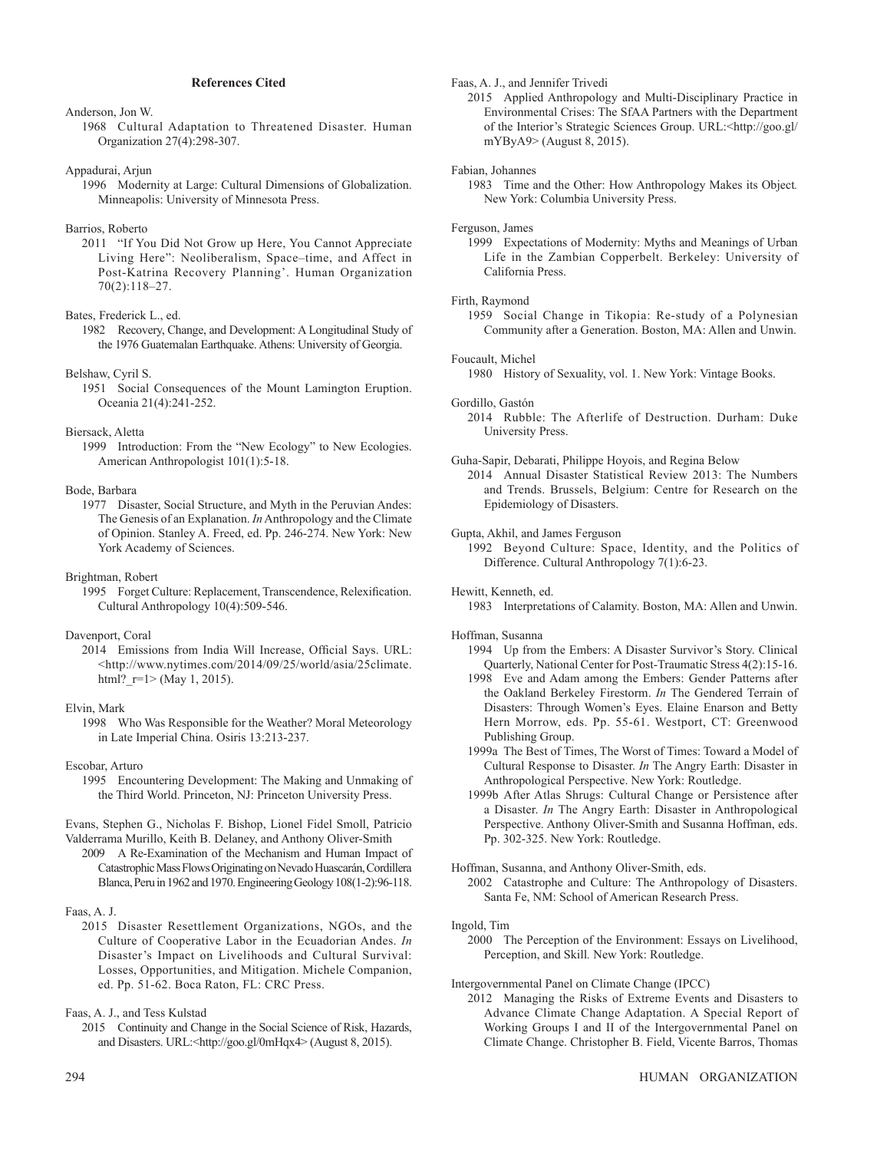# **References Cited**

## Anderson, Jon W.

1968 Cultural Adaptation to Threatened Disaster. Human Organization 27(4):298-307.

## Appadurai, Arjun

1996 Modernity at Large: Cultural Dimensions of Globalization. Minneapolis: University of Minnesota Press.

# Barrios, Roberto

2011 "If You Did Not Grow up Here, You Cannot Appreciate Living Here": Neoliberalism, Space–time, and Affect in Post-Katrina Recovery Planning'. Human Organization 70(2):118–27.

# Bates, Frederick L., ed.

#### Belshaw, Cyril S.

1951 Social Consequences of the Mount Lamington Eruption. Oceania 21(4):241-252.

## Biersack, Aletta

1999 Introduction: From the "New Ecology" to New Ecologies. American Anthropologist 101(1):5-18.

#### Bode, Barbara

1977 Disaster, Social Structure, and Myth in the Peruvian Andes: The Genesis of an Explanation. *In* Anthropology and the Climate of Opinion. Stanley A. Freed, ed. Pp. 246-274. New York: New York Academy of Sciences.

## Brightman, Robert

- 1995 Forget Culture: Replacement, Transcendence, Relexification. Cultural Anthropology 10(4):509-546.
- Davenport, Coral
- 2014 Emissions from India Will Increase, Official Says. URL: <http://www.nytimes.com/2014/09/25/world/asia/25climate. html?  $r=1$ > (May 1, 2015).

#### Elvin, Mark

- Escobar, Arturo
	- 1995 Encountering Development: The Making and Unmaking of the Third World. Princeton, NJ: Princeton University Press.

#### Evans, Stephen G., Nicholas F. Bishop, Lionel Fidel Smoll, Patricio Valderrama Murillo, Keith B. Delaney, and Anthony Oliver-Smith

2009 A Re-Examination of the Mechanism and Human Impact of Catastrophic Mass Flows Originating on Nevado Huascarán, Cordillera Blanca, Peru in 1962 and 1970. Engineering Geology 108(1-2):96-118.

# Faas, A. J.

2015 Disaster Resettlement Organizations, NGOs, and the Culture of Cooperative Labor in the Ecuadorian Andes. *In* Disaster's Impact on Livelihoods and Cultural Survival: Losses, Opportunities, and Mitigation. Michele Companion, ed. Pp. 51-62. Boca Raton, FL: CRC Press.

# Faas, A. J., and Tess Kulstad

2015 Continuity and Change in the Social Science of Risk, Hazards, and Disasters. URL:<http://goo.gl/0mHqx4> (August 8, 2015).

# Faas, A. J., and Jennifer Trivedi

2015 Applied Anthropology and Multi-Disciplinary Practice in Environmental Crises: The SfAA Partners with the Department of the Interior's Strategic Sciences Group. URL:<http://goo.gl/ mYByA9> (August 8, 2015).

### Fabian, Johannes

1983 Time and the Other: How Anthropology Makes its Object*.* New York: Columbia University Press.

#### Ferguson, James

1999 Expectations of Modernity: Myths and Meanings of Urban Life in the Zambian Copperbelt. Berkeley: University of California Press.

## Firth, Raymond

1959 Social Change in Tikopia: Re-study of a Polynesian Community after a Generation. Boston, MA: Allen and Unwin.

## Foucault, Michel

1980 History of Sexuality, vol. 1. New York: Vintage Books.

Gordillo, Gastón

- 2014 Rubble: The Afterlife of Destruction. Durham: Duke University Press.
- Guha-Sapir, Debarati, Philippe Hoyois, and Regina Below
	- 2014 Annual Disaster Statistical Review 2013: The Numbers and Trends. Brussels, Belgium: Centre for Research on the Epidemiology of Disasters.

# Gupta, Akhil, and James Ferguson

1992 Beyond Culture: Space, Identity, and the Politics of Difference. Cultural Anthropology 7(1):6-23.

Hewitt, Kenneth, ed.

1983 Interpretations of Calamity. Boston, MA: Allen and Unwin.

#### Hoffman, Susanna

- 1994 Up from the Embers: A Disaster Survivor's Story. Clinical Quarterly, National Center for Post-Traumatic Stress 4(2):15-16.
- 1998 Eve and Adam among the Embers: Gender Patterns after the Oakland Berkeley Firestorm. *In* The Gendered Terrain of Disasters: Through Women's Eyes. Elaine Enarson and Betty Hern Morrow, eds. Pp. 55-61. Westport, CT: Greenwood Publishing Group.
- 1999a The Best of Times, The Worst of Times: Toward a Model of Cultural Response to Disaster. *In* The Angry Earth: Disaster in Anthropological Perspective. New York: Routledge.
- 1999b After Atlas Shrugs: Cultural Change or Persistence after a Disaster. *In* The Angry Earth: Disaster in Anthropological Perspective. Anthony Oliver-Smith and Susanna Hoffman, eds. Pp. 302-325. New York: Routledge.

Hoffman, Susanna, and Anthony Oliver-Smith, eds.

2002 Catastrophe and Culture: The Anthropology of Disasters. Santa Fe, NM: School of American Research Press.

#### Ingold, Tim

2000 The Perception of the Environment: Essays on Livelihood, Perception, and Skill*.* New York: Routledge.

## Intergovernmental Panel on Climate Change (IPCC)

2012 Managing the Risks of Extreme Events and Disasters to Advance Climate Change Adaptation. A Special Report of Working Groups I and II of the Intergovernmental Panel on Climate Change. Christopher B. Field, Vicente Barros, Thomas

<sup>1982</sup> Recovery, Change, and Development: A Longitudinal Study of the 1976 Guatemalan Earthquake. Athens: University of Georgia.

<sup>1998</sup> Who Was Responsible for the Weather? Moral Meteorology in Late Imperial China. Osiris 13:213-237.